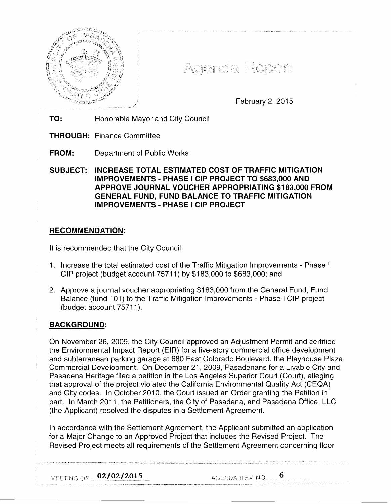

Agenda Report

February 2, 2015

TO: Honorable Mayor and City Council

- THROUGH: Finance Committee
- FROM: Department of Public Works

SUBJECT: INCREASE TOTAL ESTIMATED COST OF TRAFFIC MITIGATION IMPROVEMENTS - PHASE I CIP PROJECT TO \$683,000 AND APPROVE JOURNAL VOUCHER APPROPRIATING \$183,000 FROM GENERAL FUND, FUND BALANCE TO TRAFFIC MITIGATION IMPROVEMENTS - PHASE I CIP PROJECT

# RECOMMENDATION:

It is recommended that the City Council:

- 1. Increase the total estimated cost of the Traffic Mitigation Improvements Phase I CIP project (budget account 75711) by \$183,000 to \$683,000; and
- 2. Approve a journal voucher appropriating \$183,000 from the General Fund, Fund Balance (fund 101) to the Traffic Mitigation Improvements- Phase I CIP project (budget account 75711 ).

# BACKGROUND:

On November 26, 2009, the City Council approved an Adjustment Permit and certified the Environmental Impact Report (EIR) for a five-story commercial office development and subterranean parking garage at 680 East Colorado Boulevard, the Playhouse Plaza Commercial Development. On December 21, 2009, Pasadenans for a Livable City and Pasadena Heritage filed a petition in the Los Angeles Superior Court (Court), alleging that approval of the project violated the California Environmental Quality Act (CEQA) and City codes. In October 2010, the Court issued an Order granting the Petition in part. In March 2011, the Petitioners, the City of Pasadena, and Pasadena Office, LLC (the Applicant) resolved the disputes in a Settlement Agreement.

In accordance with the Settlement Agreement, the Applicant submitted an application for a Major Change to an Approved Project that includes the Revised Project. The Revised Project meets all requirements of the Settlement Agreement concerning floor

.<br>«Алдын эле урууны сооб үний алдын алдын менен менен жана алдын алдын алдын алдын алдын алдын алдын алдын таншын<br>«Алдын эле уруну жана болон алдын алдын алдын алдын алдын алдын алдын алдын оорулуу алдын алдын алдын алдын

MEETING OF  $02/02/2015$  AGENDA ITEM NO. ... 6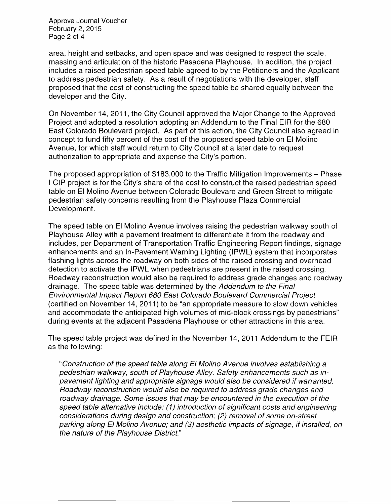Approve Journal Voucher February 2, 2015 Page 2 of 4

area, height and setbacks, and open space and was designed to respect the scale, massing and articulation of the historic Pasadena Playhouse. In addition, the project includes a raised pedestrian speed table agreed to by the Petitioners and the Applicant to address pedestrian safety. As a result of negotiations with the developer, staff proposed that the cost of constructing the speed table be shared equally between the developer and the City.

On November 14, 2011, the City Council approved the Major Change to the Approved Project and adopted a resolution adopting an Addendum to the Final EIR for the 680 East Colorado Boulevard project. As part of this action, the City Council also agreed in concept to fund fifty percent of the cost of the proposed speed table on El Molino Avenue, for which staff would return to City Council at a later date to request authorization to appropriate and expense the City's portion.

The proposed appropriation of \$183,000 to the Traffic Mitigation Improvements- Phase I CIP project is for the City's share of the cost to construct the raised pedestrian speed table on El Molino Avenue between Colorado Boulevard and Green Street to mitigate pedestrian safety concerns resulting from the Playhouse Plaza Commercial Development.

The speed table on El Molino Avenue involves raising the pedestrian walkway south of Playhouse Alley with a pavement treatment to differentiate it from the roadway and includes, per Department of Transportation Traffic Engineering Report findings, signage enhancements and an In-Pavement Warning Lighting (IPWL) system that incorporates flashing lights across the roadway on both sides of the raised crossing and overhead detection to activate the IPWL when pedestrians are present in the raised crossing. Roadway reconstruction would also be required to address grade changes and roadway drainage. The speed table was determined by the Addendum to the Final Environmental Impact Report 680 East Colorado Boulevard Commercial Project (certified on November 14, 2011) to be "an appropriate measure to slow down vehicles and accommodate the anticipated high volumes of mid-block crossings by pedestrians" during events at the adjacent Pasadena Playhouse or other attractions in this area.

The speed table project was defined in the November 14, 2011 Addendum to the FEIR as the following:

"Construction of the speed table along El Molino Avenue involves establishing a pedestrian walkway, south of Playhouse Alley. Safety enhancements such as inpavement lighting and appropriate signage would also be considered if warranted. Roadway reconstruction would also be required to address grade changes and roadway drainage. Some issues that may be encountered in the execution of the speed table alternative include: (1) introduction of significant costs and engineering considerations during design and construction; (2) removal of some on-street parking along El Molino Avenue; and (3) aesthetic impacts of signage, if installed, on the nature of the Playhouse District."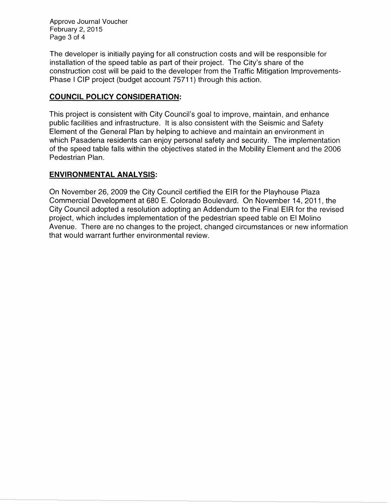Approve Journal Voucher February 2, 2015 Page 3 of 4

The developer is initially paying for all construction costs and will be responsible for installation of the speed table as part of their project. The City's share of the construction cost will be paid to the developer from the Traffic Mitigation Improvements-Phase I CIP project (budget account 75711) through this action.

### **COUNCIL POLICY CONSIDERATION:**

This project is consistent with City Council's goal to improve, maintain, and enhance public facilities and infrastructure. It is also consistent with the Seismic and Safety Element of the General Plan by helping to achieve and maintain an environment in which Pasadena residents can enjoy personal safety and security. The implementation of the speed table falls within the objectives stated in the Mobility Element and the 2006 Pedestrian Plan.

### **ENVIRONMENTAL ANALYSIS:**

On November 26, 2009 the City Council certified the EIR for the Playhouse Plaza Commercial Development at 680 E. Colorado Boulevard. On November 14, 2011, the City Council adopted a resolution adopting an Addendum to the Final EIR for the revised project, which includes implementation of the pedestrian speed table on El Molino Avenue. There are no changes to the project, changed circumstances or new information that would warrant further environmental review.